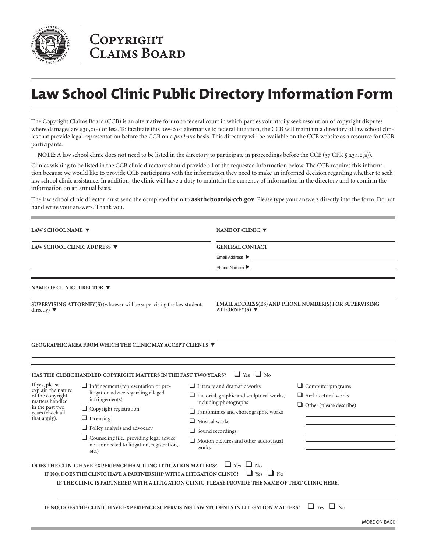

## **COPYRIGHT CLAIMS BOARD**

## **Law School Clinic Public Directory Information Form**

The Copyright Claims Board (CCB) is an alternative forum to federal court in which parties voluntarily seek resolution of copyright disputes where damages are \$30,000 or less. To facilitate this low-cost alternative to federal litigation, the CCB will maintain a directory of law school clinics that provide legal representation before the CCB on a *pro bono* basis. This directory will be available on the CCB website as a resource for CCB participants.

**NOTE:** A law school clinic does not need to be listed in the directory to participate in proceedings before the CCB (37 CFR § 234.2(a)).

Clinics wishing to be listed in the CCB clinic directory should provide all of the requested information below. The CCB requires this information because we would like to provide CCB participants with the information they need to make an informed decision regarding whether to seek law school clinic assistance. In addition, the clinic will have a duty to maintain the currency of information in the directory and to confirm the information on an annual basis.

The law school clinic director must send the completed form to **asktheboard@ccb.gov**. Please type your answers directly into the form. Do not hand write your answers. Thank you.

| LAW SCHOOL NAME ▼<br>LAW SCHOOL CLINIC ADDRESS ▼                                                                                   |                                                                                                           | NAME OF CLINIC ▼<br><b>GENERAL CONTACT</b><br><u> 1989 - Johann Barbara, martxa eta idazlea (h. 1989).</u><br>Email Address $\blacktriangleright$                                                                                                                |                      |                                |                                                                                             |                |                                                                                                                       |
|------------------------------------------------------------------------------------------------------------------------------------|-----------------------------------------------------------------------------------------------------------|------------------------------------------------------------------------------------------------------------------------------------------------------------------------------------------------------------------------------------------------------------------|----------------------|--------------------------------|---------------------------------------------------------------------------------------------|----------------|-----------------------------------------------------------------------------------------------------------------------|
|                                                                                                                                    |                                                                                                           |                                                                                                                                                                                                                                                                  |                      |                                |                                                                                             | Phone Number ▶ | <u> 1980 - Jan Sterling and Sterling and Sterling and Sterling and Sterling and Sterling and Sterling and Sterlin</u> |
|                                                                                                                                    |                                                                                                           |                                                                                                                                                                                                                                                                  |                      |                                | NAME OF CLINIC DIRECTOR ▼                                                                   |                |                                                                                                                       |
|                                                                                                                                    |                                                                                                           | SUPERVISING ATTORNEY(S) (whoever will be supervising the law students<br>directly) $\blacktriangledown$                                                                                                                                                          |                      |                                | EMAIL ADDRESS(ES) AND PHONE NUMBER(S) FOR SUPERVISING<br>$ATTORNEY(S)$ $\blacktriangledown$ |                |                                                                                                                       |
|                                                                                                                                    | GEOGRAPHIC AREA FROM WHICH THE CLINIC MAY ACCEPT CLIENTS ▼                                                |                                                                                                                                                                                                                                                                  |                      |                                |                                                                                             |                |                                                                                                                       |
|                                                                                                                                    | HAS THE CLINIC HANDLED COPYRIGHT MATTERS IN THE PAST TWO YEARS?                                           |                                                                                                                                                                                                                                                                  | $\Box$ Yes $\Box$ No |                                |                                                                                             |                |                                                                                                                       |
| If yes, please<br>explain the nature<br>of the copyright<br>matters handled<br>in the past two<br>years (check all<br>that apply). | $\Box$ Infringement (representation or pre-<br>litigation advice regarding alleged<br>infringements)      | $\Box$ Literary and dramatic works<br>Pictorial, graphic and sculptural works,<br>including photographs<br>$\Box$ Pantomimes and choreographic works<br>$\Box$ Musical works<br>$\Box$ Sound recordings<br>$\Box$ Motion pictures and other audiovisual<br>works |                      | $\Box$ Computer programs       |                                                                                             |                |                                                                                                                       |
|                                                                                                                                    |                                                                                                           |                                                                                                                                                                                                                                                                  |                      | $\Box$ Architectural works     |                                                                                             |                |                                                                                                                       |
|                                                                                                                                    | $\Box$ Copyright registration                                                                             |                                                                                                                                                                                                                                                                  |                      | $\Box$ Other (please describe) |                                                                                             |                |                                                                                                                       |
|                                                                                                                                    | $\Box$ Licensing                                                                                          |                                                                                                                                                                                                                                                                  |                      |                                |                                                                                             |                |                                                                                                                       |
|                                                                                                                                    | Policy analysis and advocacy                                                                              |                                                                                                                                                                                                                                                                  |                      |                                |                                                                                             |                |                                                                                                                       |
|                                                                                                                                    | $\Box$ Counseling (i.e., providing legal advice<br>not connected to litigation, registration,<br>$etc.$ ) |                                                                                                                                                                                                                                                                  |                      |                                |                                                                                             |                |                                                                                                                       |
|                                                                                                                                    | DOES THE CLINIC HAVE EXPERIENCE HANDLING LITIGATION MATTERS?                                              |                                                                                                                                                                                                                                                                  | $\Box$ Yes $\Box$ No |                                |                                                                                             |                |                                                                                                                       |
|                                                                                                                                    | IF NO, DOES THE CLINIC HAVE A PARTNERSHIP WITH A LITIGATION CLINIC?                                       |                                                                                                                                                                                                                                                                  | $\Box$ Yes $\Box$ No |                                |                                                                                             |                |                                                                                                                       |
|                                                                                                                                    | IF THE CLINIC IS PARTNERED WITH A LITIGATION CLINIC, PLEASE PROVIDE THE NAME OF THAT CLINIC HERE.         |                                                                                                                                                                                                                                                                  |                      |                                |                                                                                             |                |                                                                                                                       |
|                                                                                                                                    |                                                                                                           |                                                                                                                                                                                                                                                                  |                      |                                |                                                                                             |                |                                                                                                                       |
|                                                                                                                                    | IF NO, DOES THE CLINIC HAVE EXPERIENCE SUPERVISING LAW STUDENTS IN LITIGATION MATTERS?                    |                                                                                                                                                                                                                                                                  |                      | $\Box$ Yes $\Box$ No           |                                                                                             |                |                                                                                                                       |